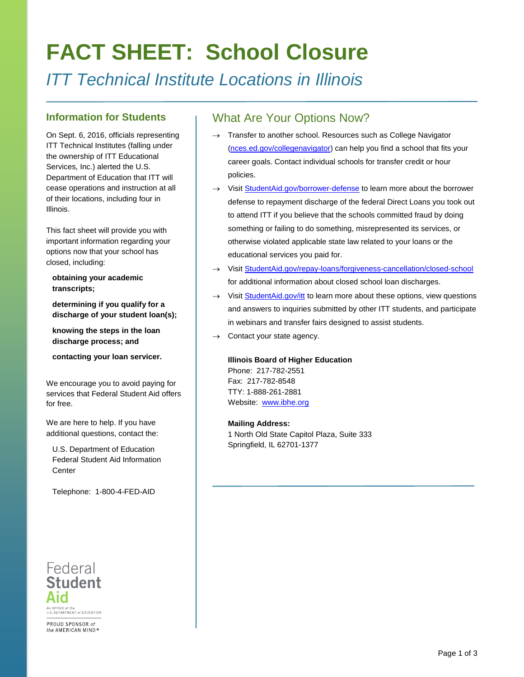# **FACT SHEET: School Closure**

*ITT Technical Institute Locations in Illinois*

#### **Information for Students**

On Sept. 6, 2016, officials representing ITT Technical Institutes (falling under the ownership of ITT Educational Services, Inc.) alerted the U.S. Department of Education that ITT will cease operations and instruction at all of their locations, including four in Illinois.

This fact sheet will provide you with important information regarding your options now that your school has closed, including:

**obtaining your academic transcripts;**

**determining if you qualify for a discharge of your student loan(s);**

**knowing the steps in the loan discharge process; and**

**contacting your loan servicer.**

We encourage you to avoid paying for services that Federal Student Aid offers for free.

We are here to help. If you have additional questions, contact the:

U.S. Department of Education Federal Student Aid Information **Center** 

Telephone: 1-800-4-FED-AID

# Federal **Student** An OFFICE of the<br>U.S. DEPARTMENT of EDUCATION PROUD SPONSOR of the AMERICAN MIND®

### What Are Your Options Now?

- Transfer to another school. Resources such as College Navigator [\(nces.ed.gov/collegenavigator\)](https://nces.ed.gov/collegenavigator/) can help you find a school that fits your career goals. Contact individual schools for transfer credit or hour policies.
- → Visit [StudentAid.gov/borrower-defense](https://studentaid.ed.gov/sa/repay-loans/forgiveness-cancellation/borrower-defense) to learn more about the borrower defense to repayment discharge of the federal Direct Loans you took out to attend ITT if you believe that the schools committed fraud by doing something or failing to do something, misrepresented its services, or otherwise violated applicable state law related to your loans or the educational services you paid for.
- → Visit [StudentAid.gov/repay-loans/forgiveness-cancellation/closed-school](https://studentaid.ed.gov/repay-loans/forgiveness-cancellation/closed-school) for additional information about closed school loan discharges.
- → Visit [StudentAid.gov/itt](https://studentaid.ed.gov/sa/about/announcements/itt) to learn more about these options, view questions and answers to inquiries submitted by other ITT students, and participate in webinars and transfer fairs designed to assist students.
- $\rightarrow$  Contact your state agency.

#### **Illinois Board of Higher Education**

Phone: 217-782-2551 Fax: 217-782-8548 TTY: 1-888-261-2881 Website: [www.ibhe.org](http://www.ibhe.org/)

#### **Mailing Address:**

1 North Old State Capitol Plaza, Suite 333 Springfield, IL 62701-1377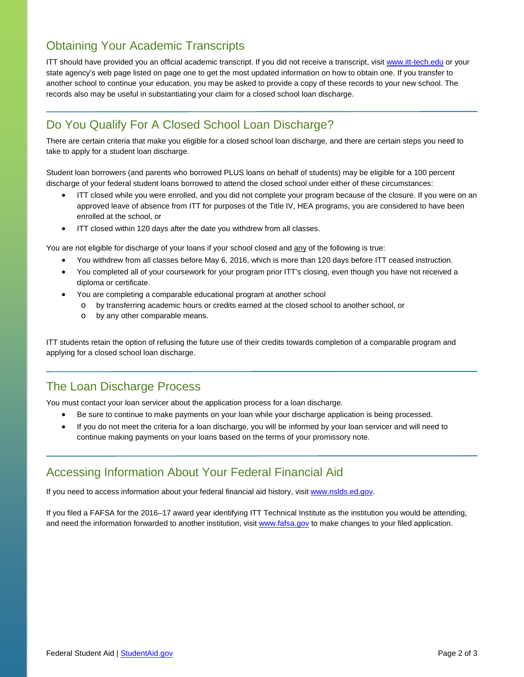# Obtaining Your Academic Transcripts

ITT should have provided you an official academic transcript. If you did not receive a transcript, visi[t www.itt-tech.edu](http://www.itt-tech.edu/) or your state agency's web page listed on page one to get the most updated information on how to obtain one. If you transfer to another school to continue your education, you may be asked to provide a copy of these records to your new school. The records also may be useful in substantiating your claim for a closed school loan discharge.

# Do You Qualify For A Closed School Loan Discharge?

There are certain criteria that make you eligible for a closed school loan discharge, and there are certain steps you need to take to apply for a student loan discharge.

Student loan borrowers (and parents who borrowed PLUS loans on behalf of students) may be eligible for a 100 percent discharge of your federal student loans borrowed to attend the closed school under either of these circumstances:

- ITT closed while you were enrolled, and you did not complete your program because of the closure. If you were on an approved leave of absence from ITT for purposes of the Title IV, HEA programs, you are considered to have been enrolled at the school, or
- ITT closed within 120 days after the date you withdrew from all classes.

You are not eligible for discharge of your loans if your school closed and any of the following is true:

- You withdrew from all classes before May 6, 2016, which is more than 120 days before ITT ceased instruction.
- You completed all of your coursework for your program prior ITT's closing, even though you have not received a diploma or certificate.
- You are completing a comparable educational program at another school
	- o by transferring academic hours or credits earned at the closed school to another school, or
		- o by any other comparable means.

ITT students retain the option of refusing the future use of their credits towards completion of a comparable program and applying for a closed school loan discharge.

## The Loan Discharge Process

You must contact your loan servicer about the application process for a loan discharge.

- Be sure to continue to make payments on your loan while your discharge application is being processed.
- If you do not meet the criteria for a loan discharge, you will be informed by your loan servicer and will need to continue making payments on your loans based on the terms of your promissory note.

#### Accessing Information About Your Federal Financial Aid

If you need to access information about your federal financial aid history, visit [www.nslds.ed.gov.](http://www.nslds.ed.gov/)

If you filed a FAFSA for the 2016–17 award year identifying ITT Technical Institute as the institution you would be attending, and need the information forwarded to another institution, visi[t www.fafsa.gov](http://www.fafsa.gov/) to make changes to your filed application.